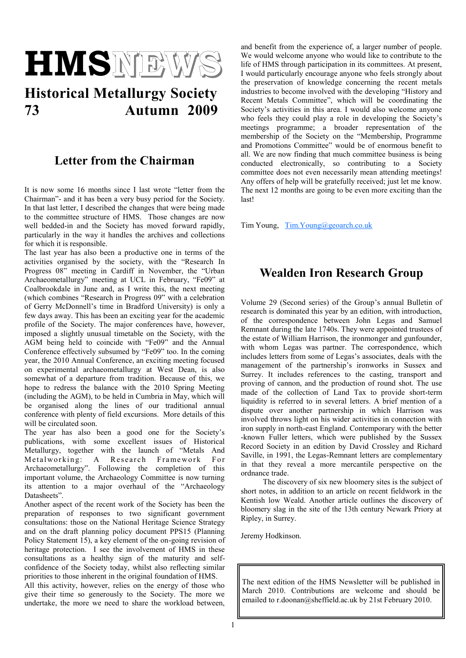

# **Historical Metallurgy Society 73 Autumn 2009**

#### **Letter from the Chairman**

It is now some 16 months since I last wrote "letter from the Chairman"- and it has been a very busy period for the Society. In that last letter, I described the changes that were being made to the committee structure of HMS. Those changes are now well bedded-in and the Society has moved forward rapidly, particularly in the way it handles the archives and collections for which it is responsible.

The last year has also been a productive one in terms of the activities organised by the society, with the "Research In Progress 08" meeting in Cardiff in November, the "Urban Archaeometallurgy" meeting at UCL in February, "Fe09" at Coalbrookdale in June and, as I write this, the next meeting (which combines "Research in Progress  $09$ " with a celebration of Gerry McDonnell's time in Bradford University) is only a few days away. This has been an exciting year for the academic profile of the Society. The major conferences have, however, imposed a slightly unusual timetable on the Society, with the AGM being held to coincide with "Fe09" and the Annual Conference effectively subsumed by "Fe09" too. In the coming year, the 2010 Annual Conference, an exciting meeting focused on experimental archaeometallurgy at West Dean, is also somewhat of a departure from tradition. Because of this, we hope to redress the balance with the 2010 Spring Meeting (including the AGM), to be held in Cumbria in May, which will be organised along the lines of our traditional annual conference with plenty of field excursions. More details of this will be circulated soon.

The year has also been a good one for the Society's publications, with some excellent issues of Historical Metallurgy, together with the launch of "Metals And Metalworking: A Research Framework For Archaeometallurgy". Following the completion of this important volume, the Archaeology Committee is now turning its attention to a major overhaul of the "Archaeology Datasheets".

Another aspect of the recent work of the Society has been the preparation of responses to two significant government consultations: those on the National Heritage Science Strategy and on the draft planning policy document PPS15 (Planning Policy Statement 15), a key element of the on-going revision of heritage protection. I see the involvement of HMS in these consultations as a healthy sign of the maturity and selfconfidence of the Society today, whilst also reflecting similar priorities to those inherent in the original foundation of HMS.

All this activity, however, relies on the energy of those who give their time so generously to the Society. The more we undertake, the more we need to share the workload between,

and benefit from the experience of, a larger number of people. We would welcome anyone who would like to contribute to the life of HMS through participation in its committees. At present, I would particularly encourage anyone who feels strongly about the preservation of knowledge concerning the recent metals industries to become involved with the developing "History and Recent Metals Committee", which will be coordinating the Society's activities in this area. I would also welcome anyone who feels they could play a role in developing the Society's meetings programme; a broader representation of the membership of the Society on the "Membership, Programme and Promotions Committee" would be of enormous benefit to all. We are now finding that much committee business is being conducted electronically, so contributing to a Society committee does not even necessarily mean attending meetings! Any offers of help will be gratefully received; just let me know. The next 12 months are going to be even more exciting than the last!

Tim Young, [Tim.Young@geoarch.co.uk](mailto:Tim.Young@geoarch.co.uk)

## **Wealden Iron Research Group**

Volume 29 (Second series) of the Group's annual Bulletin of research is dominated this year by an edition, with introduction, of the correspondence between John Legas and Samuel Remnant during the late 1740s. They were appointed trustees of the estate of William Harrison, the ironmonger and gunfounder, with whom Legas was partner. The correspondence, which includes letters from some of Legas's associates, deals with the management of the partnership's ironworks in Sussex and Surrey. It includes references to the casting, transport and proving of cannon, and the production of round shot. The use made of the collection of Land Tax to provide short-term liquidity is referred to in several letters. A brief mention of a dispute over another partnership in which Harrison was involved throws light on his wider activities in connection with iron supply in north-east England. Contemporary with the better -known Fuller letters, which were published by the Sussex Record Society in an edition by David Crossley and Richard Saville, in 1991, the Legas-Remnant letters are complementary in that they reveal a more mercantile perspective on the ordnance trade.

The discovery of six new bloomery sites is the subject of short notes, in addition to an article on recent fieldwork in the Kentish low Weald. Another article outlines the discovery of bloomery slag in the site of the 13th century Newark Priory at Ripley, in Surrey.

Jeremy Hodkinson.

The next edition of the HMS Newsletter will be published in March 2010. Contributions are welcome and should be emailed to r.doonan@sheffield.ac.uk by 21st February 2010.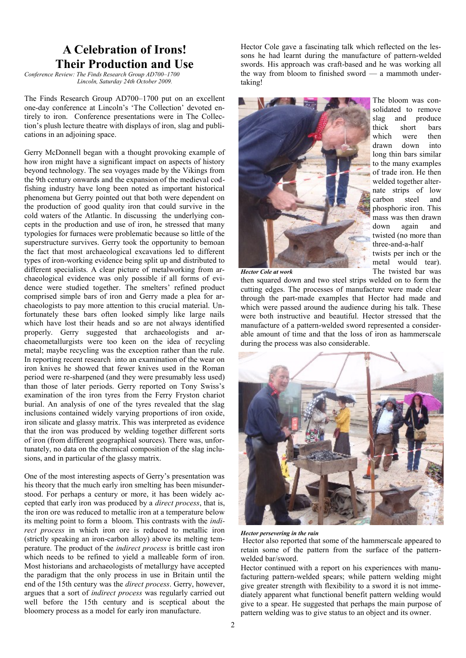# **A Celebration of Irons! Their Production and Use**

*Conference Review: The Finds Research Group AD700–1700 Lincoln, Saturday 24th October 2009.* 

The Finds Research Group AD700–1700 put on an excellent one-day conference at Lincoln's ‗The Collection' devoted entirely to iron. Conference presentations were in The Collection's plush lecture theatre with displays of iron, slag and publications in an adjoining space.

Gerry McDonnell began with a thought provoking example of how iron might have a significant impact on aspects of history beyond technology. The sea voyages made by the Vikings from the 9th century onwards and the expansion of the medieval codfishing industry have long been noted as important historical phenomena but Gerry pointed out that both were dependent on the production of good quality iron that could survive in the cold waters of the Atlantic. In discussing the underlying concepts in the production and use of iron, he stressed that many typologies for furnaces were problematic because so little of the superstructure survives. Gerry took the opportunity to bemoan the fact that most archaeological excavations led to different types of iron-working evidence being split up and distributed to different specialists. A clear picture of metalworking from archaeological evidence was only possible if all forms of evidence were studied together. The smelters' refined product comprised simple bars of iron and Gerry made a plea for archaeologists to pay more attention to this crucial material. Unfortunately these bars often looked simply like large nails which have lost their heads and so are not always identified properly. Gerry suggested that archaeologists and archaeometallurgists were too keen on the idea of recycling metal; maybe recycling was the exception rather than the rule. In reporting recent research into an examination of the wear on iron knives he showed that fewer knives used in the Roman period were re-sharpened (and they were presumably less used) than those of later periods. Gerry reported on Tony Swiss's examination of the iron tyres from the Ferry Fryston chariot burial. An analysis of one of the tyres revealed that the slag inclusions contained widely varying proportions of iron oxide, iron silicate and glassy matrix. This was interpreted as evidence that the iron was produced by welding together different sorts of iron (from different geographical sources). There was, unfortunately, no data on the chemical composition of the slag inclusions, and in particular of the glassy matrix.

One of the most interesting aspects of Gerry's presentation was his theory that the much early iron smelting has been misunderstood. For perhaps a century or more, it has been widely accepted that early iron was produced by a *direct process*, that is, the iron ore was reduced to metallic iron at a temperature below its melting point to form a bloom. This contrasts with the *indirect process* in which iron ore is reduced to metallic iron (strictly speaking an iron-carbon alloy) above its melting temperature. The product of the *indirect process* is brittle cast iron which needs to be refined to yield a malleable form of iron. Most historians and archaeologists of metallurgy have accepted the paradigm that the only process in use in Britain until the end of the 15th century was the *direct process*. Gerry, however, argues that a sort of *indirect process* was regularly carried out well before the 15th century and is sceptical about the bloomery process as a model for early iron manufacture.

Hector Cole gave a fascinating talk which reflected on the lessons he had learnt during the manufacture of pattern-welded swords. His approach was craft-based and he was working all the way from bloom to finished sword — a mammoth undertaking!



The bloom was consolidated to remove slag and produce<br>thick short bars short bars which were then drawn down into long thin bars similar to the many examples of trade iron. He then welded together alternate strips of low carbon steel and phosphoric iron. This mass was then drawn down again and twisted (no more than three-and-a-half twists per inch or the

metal would tear). The twisted bar was

*Hector Cole at work*

then squared down and two steel strips welded on to form the cutting edges. The processes of manufacture were made clear through the part-made examples that Hector had made and which were passed around the audience during his talk. These were both instructive and beautiful. Hector stressed that the manufacture of a pattern-welded sword represented a considerable amount of time and that the loss of iron as hammerscale during the process was also considerable.



*Hector persevering in the rain*

Hector also reported that some of the hammerscale appeared to retain some of the pattern from the surface of the patternwelded bar/sword.

Hector continued with a report on his experiences with manufacturing pattern-welded spears; while pattern welding might give greater strength with flexibility to a sword it is not immediately apparent what functional benefit pattern welding would give to a spear. He suggested that perhaps the main purpose of pattern welding was to give status to an object and its owner.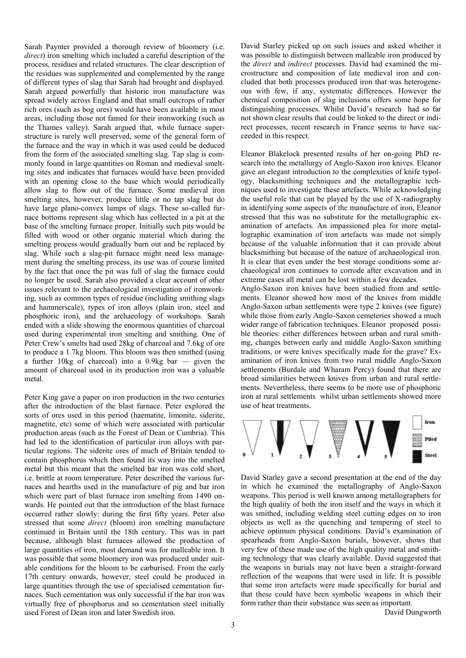Sarah Paynter provided a thorough review of bloomery (i.e. *direct*) iron smelting which included a careful description of the process, residues and related structures. The clear description of the residues was supplemented and complemented by the range of different types of slag that Sarah had brought and displayed. Sarah argued powerfully that historic iron manufacture was spread widely across England and that small outcrops of rather rich ores (such as bog ores) would have been available in most areas, including those not famed for their ironworking (such as the Thames valley). Sarah argued that, while furnace superstructure is rarely well preserved, some of the general form of the furnace and the way in which it was used could be deduced from the form of the associated smelting slag. Tap slag is commonly found in large quantities on Roman and medieval smelting sites and indicates that furnaces would have been provided with an opening close to the base which would periodically allow slag to flow out of the furnace. Some medieval iron smelting sites, however, produce little or no tap slag but do have large plano-convex lumps of slags. These so-called furnace bottoms represent slag which has collected in a pit at the base of the smelting furnace proper. Initially such pits would be filled with wood or other organic material which during the smelting process would gradually burn out and be replaced by slag. While such a slag-pit furnace might need less management during the smelting process, its use was of course limited by the fact that once the pit was full of slag the furnace could no longer be used. Sarah also provided a clear account of other issues relevant to the archaeological investigation of ironworking, such as common types of residue (including smithing slags and hammerscale), types of iron alloys (plain iron, steel and phosphoric iron), and the archaeology of workshops. Sarah ended with a slide showing the enormous quantities of charcoal used during experimental iron smelting and smithing. One of Peter Crew's smelts had used 28kg of charcoal and 7.6kg of ore to produce a 1.7kg bloom. This bloom was then smithed (using a further 10kg of charcoal) into a 0.9kg bar — given the amount of charcoal used in its production iron was a valuable metal.

Peter King gave a paper on iron production in the two centuries after the introduction of the blast furnace. Peter explored the sorts of ores used in this period (haematite, limonite, siderite, magnetite, etc) some of which were associated with particular production areas (such as the Forest of Dean or Cumbria). This had led to the identification of particular iron alloys with particular regions. The siderite ores of much of Britain tended to contain phosphorus which then found its way into the smelted metal but this meant that the smelted bar iron was cold short, i.e. brittle at room temperature. Peter described the various furnaces and hearths used in the manufacture of pig and bar iron which were part of blast furnace iron smelting from 1490 onwards. He pointed out that the introduction of the blast furnace occurred rather slowly: during the first fifty years. Peter also stressed that some *direct* (bloom) iron smelting manufacture continued in Britain until the 18th century. This was in part because, although blast furnaces allowed the production of large quantities of iron, most demand was for malleable iron. It was possible that some bloomery iron was produced under suitable conditions for the bloom to be carburised. From the early 17th century onwards, however, steel could be produced in large quantities through the use of specialised cementation furnaces. Such cementation was only successful if the bar iron was virtually free of phosphorus and so cementation steel initially used Forest of Dean iron and later Swedish iron.

David Starley picked up on such issues and asked whether it was possible to distinguish between malleable iron produced by the *direct* and *indirect* processes. David had examined the microstructure and composition of late medieval iron and concluded that both processes produced iron that was heterogeneous with few, if any, systematic differences. However the chemical composition of slag inclusions offers some hope for distinguishing processes. Whilst David's research had so far not shown clear results that could be linked to the direct or indirect processes, recent research in France seems to have succeeded in this respect.

Eleanor Blakelock presented results of her on-going PhD research into the metallurgy of Anglo-Saxon iron knives. Eleanor gave an elegant introduction to the complexities of knife typology, blacksmithing techniques and the metallographic techniques used to investigate these artefacts. While acknowledging the useful role that can be played by the use of X-radiography in identifying some aspects of the manufacture of iron, Eleanor stressed that this was no substitute for the metallographic examination of artefacts. An impassioned plea for more metallographic examination of iron artefacts was made not simply because of the valuable information that it can provide about blacksmithing but because of the nature of archaeological iron. It is clear that even under the best storage conditions some archaeological iron continues to corrode after excavation and in extreme cases all metal can be lost within a few decades.

Anglo-Saxon iron knives have been studied from and settlements. Eleanor showed how most of the knives from middle Anglo-Saxon urban settlements were type 2 knives (see figure) while those from early Anglo-Saxon cemeteries showed a much wider range of fabrication techniques. Eleanor proposed possible theories: either differences between urban and rural smithing, changes between early and middle Anglo-Saxon smithing traditions, or were knives specifically made for the grave? Examination of iron knives from two rural middle Anglo-Saxon settlements (Burdale and Wharam Percy) found that there are broad similarities between knives from urban and rural settlements. Nevertheless, there seems to be more use of phosphoric iron at rural settlements whilst urban settlements showed more use of heat treatments.



David Starley gave a second presentation at the end of the day in which he examined the metallography of Anglo-Saxon weapons. This period is well known among metallographers for the high quality of both the iron itself and the ways in which it was smithed, including welding steel cutting edges on to iron objects as well as the quenching and tempering of steel to achieve optimum physical conditions. David's examination of spearheads from Anglo-Saxon burials, however, shows that very few of these made use of the high quality metal and smithing technology that was clearly available. David suggested that the weapons in burials may not have been a straight-forward reflection of the weapons that were used in life. It is possible that some iron artefacts were made specifically for burial and that these could have been symbolic weapons in which their form rather than their substance was seen as important.

David Dungworth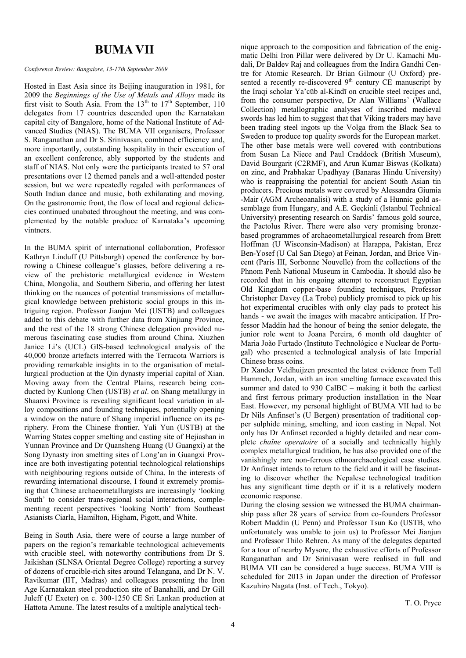#### **BUMA VII**

#### *Conference Review: Bangalore, 13-17th September 2009*

Hosted in East Asia since its Beijing inauguration in 1981, for 2009 the *Beginnings of the Use of Metals and Alloys* made its first visit to South Asia. From the  $13<sup>th</sup>$  to  $17<sup>th</sup>$  September, 110 delegates from 17 countries descended upon the Karnatakan capital city of Bangalore, home of the National Institute of Advanced Studies (NIAS). The BUMA VII organisers, Professor S. Ranganathan and Dr S. Srinivasan, combined efficiency and, more importantly, outstanding hospitality in their execution of an excellent conference, ably supported by the students and staff of NIAS. Not only were the participants treated to 57 oral presentations over 12 themed panels and a well-attended poster session, but we were repeatedly regaled with performances of South Indian dance and music, both exhilarating and moving. On the gastronomic front, the flow of local and regional delicacies continued unabated throughout the meeting, and was complemented by the notable produce of Karnataka's upcoming vintners.

In the BUMA spirit of international collaboration, Professor Kathryn Linduff (U Pittsburgh) opened the conference by borrowing a Chinese colleague's glasses, before delivering a review of the prehistoric metallurgical evidence in Western China, Mongolia, and Southern Siberia, and offering her latest thinking on the nuances of potential transmissions of metallurgical knowledge between prehistoric social groups in this intriguing region. Professor Jianjun Mei (USTB) and colleagues added to this debate with further data from Xinjiang Province, and the rest of the 18 strong Chinese delegation provided numerous fascinating case studies from around China. Xiuzhen Janice Li's (UCL) GIS-based technological analysis of the 40,000 bronze artefacts interred with the Terracota Warriors is providing remarkable insights in to the organisation of metallurgical production at the Qin dynasty imperial capital of Xian. Moving away from the Central Plains, research being conducted by Kunlong Chen (USTB) *et al*. on Shang metallurgy in Shaanxi Province is revealing significant local variation in alloy compositions and founding techniques, potentially opening a window on the nature of Shang imperial influence on its periphery. From the Chinese frontier, Yali Yun (USTB) at the Warring States copper smelting and casting site of Hejiashan in Yunnan Province and Dr Quansheng Huang (U Guangxi) at the Song Dynasty iron smelting sites of Long'an in Guangxi Province are both investigating potential technological relationships with neighbouring regions outside of China. In the interests of rewarding international discourse, I found it extremely promising that Chinese archaeometallurgists are increasingly ‗looking South' to consider trans-regional social interactions, complementing recent perspectives 'looking North' from Southeast Asianists Ciarla, Hamilton, Higham, Pigott, and White.

Being in South Asia, there were of course a large number of papers on the region's remarkable technological achievements with crucible steel, with noteworthy contributions from Dr S. Jaikishan (SLNSA Oriental Degree College) reporting a survey of dozens of crucible-rich sites around Telangana, and Dr N. V. Ravikumar (IIT, Madras) and colleagues presenting the Iron Age Karnatakan steel production site of Banahalli, and Dr Gill Juleff (U Exeter) on c. 300-1250 CE Sri Lankan production at Hattota Amune. The latest results of a multiple analytical technique approach to the composition and fabrication of the enigmatic Delhi Iron Pillar were delivered by Dr U. Kamachi Mudali, Dr Baldev Raj and colleagues from the Indira Gandhi Centre for Atomic Research. Dr Brian Gilmour (U Oxford) presented a recently re-discovered 9<sup>th</sup> century CE manuscript by the Iraqi scholar Ya'cūb al-Kindī on crucible steel recipes and, from the consumer perspective, Dr Alan Williams' (Wallace Collection) metallographic analyses of inscribed medieval swords has led him to suggest that that Viking traders may have been trading steel ingots up the Volga from the Black Sea to Sweden to produce top quality swords for the European market. The other base metals were well covered with contributions from Susan La Niece and Paul Craddock (British Museum), David Bourgarit (C2RMF), and Arun Kumar Biswas (Kolkata) on zinc, and Prabhakar Upadhyay (Banaras Hindu University) who is reappraising the potential for ancient South Asian tin producers. Precious metals were covered by Alessandra Giumia -Mair (AGM Archeoanalisi) with a study of a Hunnic gold assemblage from Hungary, and A.E. Geçkinli (Istanbul Technical University) presenting research on Sardis' famous gold source, the Pactolus River. There were also very promising bronzebased programmes of archaeometallurgical research from Brett Hoffman (U Wisconsin-Madison) at Harappa, Pakistan, Erez Ben-Yosef (U Cal San Diego) at Feinan, Jordan, and Brice Vincent (Paris III, Sorbonne Nouvelle) from the collections of the Phnom Penh National Museum in Cambodia. It should also be recorded that in his ongoing attempt to reconstruct Egyptian Old Kingdom copper-base founding techniques, Professor Christopher Davey (La Trobe) publicly promised to pick up his hot experimental crucibles with only clay pads to protect his hands - we await the images with macabre anticipation. If Professor Maddin had the honour of being the senior delegate, the junior role went to Joana Pereira, 6 month old daughter of Maria João Furtado (Instituto Technológico e Nuclear de Portugal) who presented a technological analysis of late Imperial Chinese brass coins.

Dr Xander Veldhuijzen presented the latest evidence from Tell Hammeh, Jordan, with an iron smelting furnace excavated this summer and dated to 930 CalBC – making it both the earliest and first ferrous primary production installation in the Near East. However, my personal highlight of BUMA VII had to be Dr Nils Anfinset's (U Bergen) presentation of traditional copper sulphide mining, smelting, and icon casting in Nepal. Not only has Dr Anfinset recorded a highly detailed and near complete *chaïne operatoire* of a socially and technically highly complex metallurgical tradition, he has also provided one of the vanishingly rare non-ferrous ethnoarchaeological case studies. Dr Anfinset intends to return to the field and it will be fascinating to discover whether the Nepalese technological tradition has any significant time depth or if it is a relatively modern economic response.

During the closing session we witnessed the BUMA chairmanship pass after 28 years of service from co-founders Professor Robert Maddin (U Penn) and Professor Tsun Ko (USTB, who unfortunately was unable to join us) to Professor Mei Jianjun and Professor Thilo Rehren. As many of the delegates departed for a tour of nearby Mysore, the exhaustive efforts of Professor Ranganathan and Dr Srinivasan were realised in full and BUMA VII can be considered a huge success. BUMA VIII is scheduled for 2013 in Japan under the direction of Professor Kazuhiro Nagata (Inst. of Tech., Tokyo).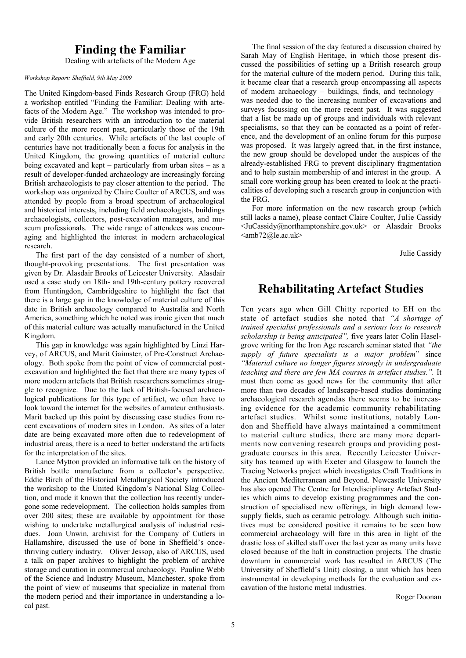### **Finding the Familiar**

Dealing with artefacts of the Modern Age

#### *Workshop Report: Sheffield, 9th May 2009*

The United Kingdom-based Finds Research Group (FRG) held a workshop entitled "Finding the Familiar: Dealing with artefacts of the Modern Age." The workshop was intended to provide British researchers with an introduction to the material culture of the more recent past, particularly those of the 19th and early 20th centuries. While artefacts of the last couple of centuries have not traditionally been a focus for analysis in the United Kingdom, the growing quantities of material culture being excavated and kept – particularly from urban sites – as a result of developer-funded archaeology are increasingly forcing British archaeologists to pay closer attention to the period. The workshop was organized by Claire Coulter of ARCUS, and was attended by people from a broad spectrum of archaeological and historical interests, including field archaeologists, buildings archaeologists, collectors, post-excavation managers, and museum professionals. The wide range of attendees was encouraging and highlighted the interest in modern archaeological research.

The first part of the day consisted of a number of short, thought-provoking presentations. The first presentation was given by Dr. Alasdair Brooks of Leicester University. Alasdair used a case study on 18th- and 19th-century pottery recovered from Huntingdon, Cambridgeshire to highlight the fact that there is a large gap in the knowledge of material culture of this date in British archaeology compared to Australia and North America, something which he noted was ironic given that much of this material culture was actually manufactured in the United Kingdom.

This gap in knowledge was again highlighted by Linzi Harvey, of ARCUS, and Marit Gaimster, of Pre-Construct Archaeology. Both spoke from the point of view of commercial postexcavation and highlighted the fact that there are many types of more modern artefacts that British researchers sometimes struggle to recognize. Due to the lack of British-focused archaeological publications for this type of artifact, we often have to look toward the internet for the websites of amateur enthusiasts. Marit backed up this point by discussing case studies from recent excavations of modern sites in London. As sites of a later date are being excavated more often due to redevelopment of industrial areas, there is a need to better understand the artifacts for the interpretation of the sites.

Lance Mytton provided an informative talk on the history of British bottle manufacture from a collector's perspective. Eddie Birch of the Historical Metallurgical Society introduced the workshop to the United Kingdom's National Slag Collection, and made it known that the collection has recently undergone some redevelopment. The collection holds samples from over 200 sites; these are available by appointment for those wishing to undertake metallurgical analysis of industrial residues. Joan Unwin, archivist for the Company of Cutlers in Hallamshire, discussed the use of bone in Sheffield's oncethriving cutlery industry. Oliver Jessop, also of ARCUS, used a talk on paper archives to highlight the problem of archive storage and curation in commercial archaeology. Pauline Webb of the Science and Industry Museum, Manchester, spoke from the point of view of museums that specialize in material from the modern period and their importance in understanding a local past.

The final session of the day featured a discussion chaired by Sarah May of English Heritage, in which those present discussed the possibilities of setting up a British research group for the material culture of the modern period. During this talk, it became clear that a research group encompassing all aspects of modern archaeology – buildings, finds, and technology – was needed due to the increasing number of excavations and surveys focussing on the more recent past. It was suggested that a list be made up of groups and individuals with relevant specialisms, so that they can be contacted as a point of reference, and the development of an online forum for this purpose was proposed. It was largely agreed that, in the first instance, the new group should be developed under the auspices of the already-established FRG to prevent disciplinary fragmentation and to help sustain membership of and interest in the group. A small core working group has been created to look at the practicalities of developing such a research group in conjunction with the FRG.

For more information on the new research group (which still lacks a name), please contact Claire Coulter, Julie Cassidy <JuCassidy@northamptonshire.gov.uk> or Alasdair Brooks  $\langle$ amb72@le.ac.uk $\rangle$ 

Julie Cassidy

# **Rehabilitating Artefact Studies**

Ten years ago when Gill Chitty reported to EH on the state of artefact studies she noted that *"A shortage of trained specialist professionals and a serious loss to research scholarship is being anticipated",* five years later Colin Haselgrove writing for the Iron Age research seminar stated that *"the*  supply of future specialists is a major problem" since *"Material culture no longer figures strongly in undergraduate teaching and there are few MA courses in artefact studies.".* It must then come as good news for the community that after more than two decades of landscape-based studies dominating archaeological research agendas there seems to be increasing evidence for the academic community rehabilitating artefact studies. Whilst some institutions, notably London and Sheffield have always maintained a commitment to material culture studies, there are many more departments now convening research groups and providing postgraduate courses in this area. Recently Leicester University has teamed up with Exeter and Glasgow to launch the Tracing Networks project which investigates Craft Traditions in the Ancient Mediterranean and Beyond. Newcastle University has also opened The Centre for Interdisciplinary Artefact Studies which aims to develop existing programmes and the construction of specialised new offerings, in high demand lowsupply fields, such as ceramic petrology. Although such initiatives must be considered positive it remains to be seen how commercial archaeology will fare in this area in light of the drastic loss of skilled staff over the last year as many units have closed because of the halt in construction projects. The drastic downturn in commercial work has resulted in ARCUS (The University of Sheffield's Unit) closing, a unit which has been instrumental in developing methods for the evaluation and excavation of the historic metal industries.

Roger Doonan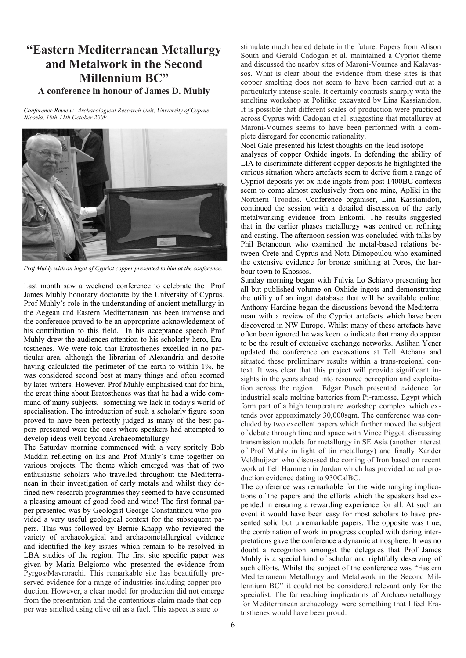### **"Eastern Mediterranean Metallurgy and Metalwork in the Second Millennium BC" A conference in honour of James D. Muhly**

*Conference Review: Archaeological Research Unit, University of Cyprus Nicosia, 10th-11th October 2009.* 



*Prof Muhly with an ingot of Cypriot copper presented to him at the conference.*

Last month saw a weekend conference to celebrate the Prof James Muhly honorary doctorate by the University of Cyprus. Prof Muhly's role in the understanding of ancient metallurgy in the Aegean and Eastern Mediterranean has been immense and the conference proved to be an appropriate acknowledgment of his contribution to this field. In his acceptance speech Prof Muhly drew the audiences attention to his scholarly hero, Eratosthenes. We were told that Eratosthenes excelled in no particular area, although the librarian of Alexandria and despite having calculated the perimeter of the earth to within 1%, he was considered second best at many things and often scorned by later writers. However, Prof Muhly emphasised that for him, the great thing about Eratosthenes was that he had a wide command of many subjects, something we lack in today's world of specialisation. The introduction of such a scholarly figure soon proved to have been perfectly judged as many of the best papers presented were the ones where speakers had attempted to develop ideas well beyond Archaeometallurgy.

The Saturday morning commenced with a very spritely Bob Maddin reflecting on his and Prof Muhly's time together on various projects. The theme which emerged was that of two enthusiastic scholars who travelled throughout the Mediterranean in their investigation of early metals and whilst they defined new research programmes they seemed to have consumed a pleasing amount of good food and wine! The first formal paper presented was by Geologist George Constantinou who provided a very useful geological context for the subsequent papers. This was followed by Bernie Knapp who reviewed the variety of archaeological and archaeometallurgical evidence and identified the key issues which remain to be resolved in LBA studies of the region. The first site specific paper was given by Maria Belgiorno who presented the evidence from Pyrgos/Mavrorachi. This remarkable site has beautifully preserved evidence for a range of industries including copper production. However, a clear model for production did not emerge from the presentation and the contentious claim made that copper was smelted using olive oil as a fuel. This aspect is sure to

stimulate much heated debate in the future. Papers from Alison South and Gerald Cadogan et al. maintained a Cypriot theme and discussed the nearby sites of Maroni-Vournes and Kalavassos. What is clear about the evidence from these sites is that copper smelting does not seem to have been carried out at a particularly intense scale. It certainly contrasts sharply with the smelting workshop at Politiko excavated by Lina Kassianidou. It is possible that different scales of production were practiced across Cyprus with Cadogan et al. suggesting that metallurgy at Maroni-Vournes seems to have been performed with a complete disregard for economic rationality.

Noel Gale presented his latest thoughts on the lead isotope

analyses of copper Oxhide ingots. In defending the ability of LIA to discriminate different copper deposits he highlighted the curious situation where artefacts seem to derive from a range of Cypriot deposits yet ox-hide ingots from post 1400BC contexts seem to come almost exclusively from one mine, Apliki in the Northern Troodos. Conference organiser, Lina Kassianidou, continued the session with a detailed discussion of the early metalworking evidence from Enkomi. The results suggested that in the earlier phases metallurgy was centred on refining and casting. The afternoon session was concluded with talks by Phil Betancourt who examined the metal-based relations between Crete and Cyprus and Nota Dimopoulou who examined the extensive evidence for bronze smithing at Poros, the harbour town to Knossos.

Sunday morning began with Fulvia Lo Schiavo presenting her all but published volume on Oxhide ingots and demonstrating the utility of an ingot database that will be available online. Anthony Harding began the discussions beyond the Mediterranean with a review of the Cypriot artefacts which have been discovered in NW Europe. Whilst many of these artefacts have often been ignored he was keen to indicate that many do appear to be the result of extensive exchange networks. Aslihan Yener updated the conference on excavations at Tell Atchana and situated these preliminary results within a trans-regional context. It was clear that this project will provide significant insights in the years ahead into resource perception and exploitation across the region. Edgar Pusch presented evidence for industrial scale melting batteries from Pi-ramesse, Egypt which form part of a high temperature workshop complex which extends over approximately 30,000sqm. The conference was concluded by two excellent papers which further moved the subject of debate through time and space with Vince Piggott discussing transmission models for metallurgy in SE Asia (another interest of Prof Muhly in light of tin metallurgy) and finally Xander Veldhuijzen who discussed the coming of Iron based on recent work at Tell Hammeh in Jordan which has provided actual production evidence dating to 930CalBC.

The conference was remarkable for the wide ranging implications of the papers and the efforts which the speakers had expended in ensuring a rewarding experience for all. At such an event it would have been easy for most scholars to have presented solid but unremarkable papers. The opposite was true, the combination of work in progress coupled with daring interpretations gave the conference a dynamic atmosphere. It was no doubt a recognition amongst the delegates that Prof James Muhly is a special kind of scholar and rightfully deserving of such efforts. Whilst the subject of the conference was "Eastern Mediterranean Metallurgy and Metalwork in the Second Millennium BC" it could not be considered relevant only for the specialist. The far reaching implications of Archaeometallurgy for Mediterranean archaeology were something that I feel Eratosthenes would have been proud.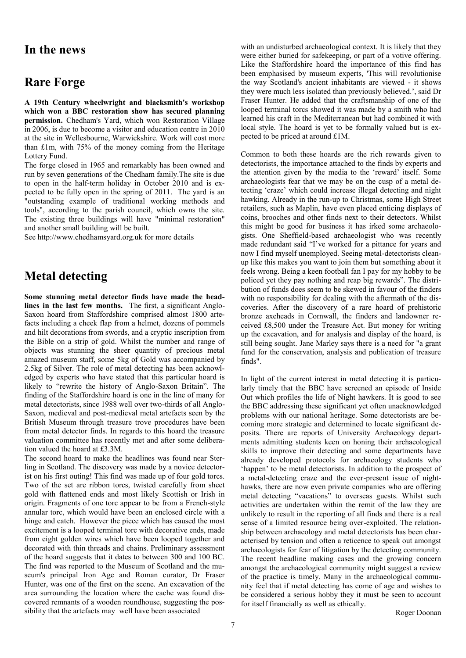#### **In the news**

### **Rare Forge**

**A 19th Century wheelwright and blacksmith's workshop which won a BBC restoration show has secured planning permission.** Chedham's Yard, which won Restoration Village in 2006, is due to become a visitor and education centre in 2010 at the site in Wellesbourne, Warwickshire. Work will cost more than £1m, with 75% of the money coming from the Heritage Lottery Fund.

The forge closed in 1965 and remarkably has been owned and run by seven generations of the Chedham family.The site is due to open in the half-term holiday in October 2010 and is expected to be fully open in the spring of 2011. The yard is an "outstanding example of traditional working methods and tools", according to the parish council, which owns the site. The existing three buildings will have "minimal restoration" and another small building will be built.

See http://www.chedhamsyard.org.uk for more details

## **Metal detecting**

**Some stunning metal detector finds have made the headlines in the last few months.** The first, a significant Anglo-Saxon hoard from Staffordshire comprised almost 1800 artefacts including a cheek flap from a helmet, dozens of pommels and hilt decorations from swords, and a cryptic inscription from the Bible on a strip of gold. Whilst the number and range of objects was stunning the sheer quantity of precious metal amazed museum staff, some 5kg of Gold was accompanied by 2.5kg of Silver. The role of metal detecting has been acknowledged by experts who have stated that this particular hoard is likely to "rewrite the history of Anglo-Saxon Britain". The finding of the Staffordshire hoard is one in the line of many for metal detectorists, since 1988 well over two-thirds of all Anglo-Saxon, medieval and post-medieval metal artefacts seen by the British Museum through treasure trove procedures have been from metal detector finds. In regards to this hoard the treasure valuation committee has recently met and after some deliberation valued the hoard at £3.3M.

The second hoard to make the headlines was found near Sterling in Scotland. The discovery was made by a novice detectorist on his first outing! This find was made up of four gold torcs. Two of the set are ribbon torcs, twisted carefully from sheet gold with flattened ends and most likely Scottish or Irish in origin. Fragments of one torc appear to be from a French-style annular torc, which would have been an enclosed circle with a hinge and catch. However the piece which has caused the most excitement is a looped terminal torc with decorative ends, made from eight golden wires which have been looped together and decorated with thin threads and chains. Preliminary assessment of the hoard suggests that it dates to between 300 and 100 BC. The find was reported to the Museum of Scotland and the museum's principal Iron Age and Roman curator, Dr Fraser Hunter, was one of the first on the scene. An excavation of the area surrounding the location where the cache was found discovered remnants of a wooden roundhouse, suggesting the possibility that the artefacts may well have been associated

with an undisturbed archaeological context. It is likely that they were either buried for safekeeping, or part of a votive offering. Like the Staffordshire hoard the importance of this find has been emphasised by museum experts, 'This will revolutionise the way Scotland's ancient inhabitants are viewed - it shows they were much less isolated than previously believed.', said Dr Fraser Hunter. He added that the craftsmanship of one of the looped terminal torcs showed it was made by a smith who had learned his craft in the Mediterranean but had combined it with local style. The hoard is yet to be formally valued but is expected to be priced at around £1M.

Common to both these hoards are the rich rewards given to detectorists, the importance attached to the finds by experts and the attention given by the media to the 'reward' itself. Some archaeologists fear that we may be on the cusp of a metal detecting ‗craze' which could increase illegal detecting and night hawking. Already in the run-up to Christmas, some High Street retailers, such as Maplin, have even placed enticing displays of coins, brooches and other finds next to their detectors. Whilst this might be good for business it has irked some archaeologists. One Sheffield-based archaeologist who was recently made redundant said "I've worked for a pittance for years and now I find myself unemployed. Seeing metal-detectorists cleanup like this makes you want to join them but something about it feels wrong. Being a keen football fan I pay for my hobby to be policed yet they pay nothing and reap big rewards". The distribution of funds does seem to be skewed in favour of the finders with no responsibility for dealing with the aftermath of the discoveries. After the discovery of a rare hoard of prehistoric bronze axeheads in Cornwall, the finders and landowner received £8,500 under the Treasure Act. But money for writing up the excavation, and for analysis and display of the hoard, is still being sought. Jane Marley says there is a need for "a grant fund for the conservation, analysis and publication of treasure finds".

In light of the current interest in metal detecting it is particularly timely that the BBC have screened an episode of Inside Out which profiles the life of Night hawkers. It is good to see the BBC addressing these significant yet often unacknowledged problems with our national heritage. Some detectorists are becoming more strategic and determined to locate significant deposits. There are reports of University Archaeology departments admitting students keen on honing their archaeological skills to improve their detecting and some departments have already developed protocols for archaeology students who ‗happen' to be metal detectorists. In addition to the prospect of a metal-detecting craze and the ever-present issue of nighthawks, there are now even private companies who are offering metal detecting "vacations" to overseas guests. Whilst such activities are undertaken within the remit of the law they are unlikely to result in the reporting of all finds and there is a real sense of a limited resource being over-exploited. The relationship between archaeology and metal detectorists has been characterised by tension and often a reticence to speak out amongst archaeologists for fear of litigation by the detecting community. The recent headline making cases and the growing concern amongst the archaeological community might suggest a review of the practice is timely. Many in the archaeological community feel that if metal detecting has come of age and wishes to be considered a serious hobby they it must be seen to account for itself financially as well as ethically.